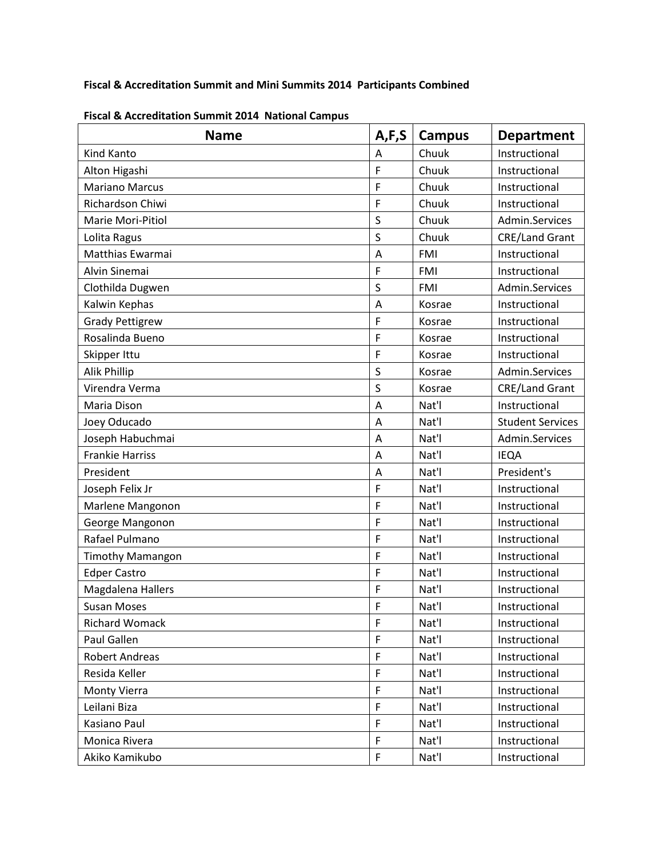## **Fiscal & Accreditation Summit and Mini Summits 2014 Participants Combined**

| <b>Name</b>             | A, F, S     | Campus     | <b>Department</b>       |
|-------------------------|-------------|------------|-------------------------|
| Kind Kanto              | A           | Chuuk      | Instructional           |
| Alton Higashi           | F           | Chuuk      | Instructional           |
| <b>Mariano Marcus</b>   | F           | Chuuk      | Instructional           |
| Richardson Chiwi        | F           | Chuuk      | Instructional           |
| Marie Mori-Pitiol       | S           | Chuuk      | Admin.Services          |
| Lolita Ragus            | S           | Chuuk      | <b>CRE/Land Grant</b>   |
| Matthias Ewarmai        | A           | <b>FMI</b> | Instructional           |
| Alvin Sinemai           | F           | <b>FMI</b> | Instructional           |
| Clothilda Dugwen        | $\sf S$     | <b>FMI</b> | Admin.Services          |
| Kalwin Kephas           | A           | Kosrae     | Instructional           |
| <b>Grady Pettigrew</b>  | F           | Kosrae     | Instructional           |
| Rosalinda Bueno         | F           | Kosrae     | Instructional           |
| Skipper Ittu            | F           | Kosrae     | Instructional           |
| Alik Phillip            | $\sf S$     | Kosrae     | Admin.Services          |
| Virendra Verma          | S           | Kosrae     | <b>CRE/Land Grant</b>   |
| Maria Dison             | A           | Nat'l      | Instructional           |
| Joey Oducado            | A           | Nat'l      | <b>Student Services</b> |
| Joseph Habuchmai        | A           | Nat'l      | Admin.Services          |
| <b>Frankie Harriss</b>  | A           | Nat'l      | <b>IEQA</b>             |
| President               | A           | Nat'l      | President's             |
| Joseph Felix Jr         | F           | Nat'l      | Instructional           |
| Marlene Mangonon        | F           | Nat'l      | Instructional           |
| George Mangonon         | F           | Nat'l      | Instructional           |
| Rafael Pulmano          | F           | Nat'l      | Instructional           |
| <b>Timothy Mamangon</b> | F           | Nat'l      | Instructional           |
| <b>Edper Castro</b>     | F           | Nat'l      | Instructional           |
| Magdalena Hallers       | F           | Nat'l      | Instructional           |
| <b>Susan Moses</b>      | F           | Nat'l      | Instructional           |
| <b>Richard Womack</b>   | F           | Nat'l      | Instructional           |
| Paul Gallen             | F           | Nat'l      | Instructional           |
| Robert Andreas          | $\mathsf F$ | Nat'l      | Instructional           |
| Resida Keller           | F           | Nat'l      | Instructional           |
| Monty Vierra            | F           | Nat'l      | Instructional           |
| Leilani Biza            | F           | Nat'l      | Instructional           |
| Kasiano Paul            | F           | Nat'l      | Instructional           |
| Monica Rivera           | F           | Nat'l      | Instructional           |
| Akiko Kamikubo          | F           | Nat'l      | Instructional           |

**Fiscal & Accreditation Summit 2014 National Campus**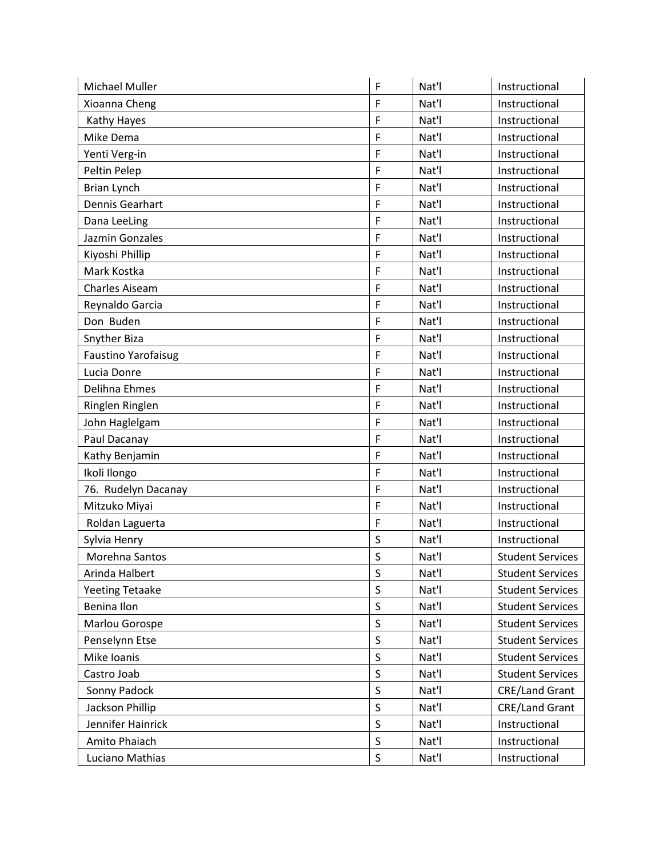| Michael Muller             | F       | Nat'l | Instructional           |
|----------------------------|---------|-------|-------------------------|
| Xioanna Cheng              | F       | Nat'l | Instructional           |
| Kathy Hayes                | F       | Nat'l | Instructional           |
| Mike Dema                  | F       | Nat'l | Instructional           |
| Yenti Verg-in              | F       | Nat'l | Instructional           |
| Peltin Pelep               | F       | Nat'l | Instructional           |
| Brian Lynch                | F       | Nat'l | Instructional           |
| Dennis Gearhart            | F       | Nat'l | Instructional           |
| Dana LeeLing               | F       | Nat'l | Instructional           |
| Jazmin Gonzales            | F       | Nat'l | Instructional           |
| Kiyoshi Phillip            | F       | Nat'l | Instructional           |
| Mark Kostka                | F       | Nat'l | Instructional           |
| <b>Charles Aiseam</b>      | F       | Nat'l | Instructional           |
| Reynaldo Garcia            | F       | Nat'l | Instructional           |
| Don Buden                  | F       | Nat'l | Instructional           |
| Snyther Biza               | F       | Nat'l | Instructional           |
| <b>Faustino Yarofaisug</b> | F       | Nat'l | Instructional           |
| Lucia Donre                | F       | Nat'l | Instructional           |
| Delihna Ehmes              | F       | Nat'l | Instructional           |
| Ringlen Ringlen            | F       | Nat'l | Instructional           |
| John Haglelgam             | F       | Nat'l | Instructional           |
| Paul Dacanay               | F       | Nat'l | Instructional           |
| Kathy Benjamin             | F       | Nat'l | Instructional           |
| Ikoli Ilongo               | F       | Nat'l | Instructional           |
| 76. Rudelyn Dacanay        | F       | Nat'l | Instructional           |
| Mitzuko Miyai              | F       | Nat'l | Instructional           |
| Roldan Laguerta            | F       | Nat'l | Instructional           |
| Sylvia Henry               | S       | Nat'l | Instructional           |
| Morehna Santos             | S       | Nat'l | <b>Student Services</b> |
| Arinda Halbert             | $\sf S$ | Nat'l | <b>Student Services</b> |
| <b>Yeeting Tetaake</b>     | $\sf S$ | Nat'l | <b>Student Services</b> |
| Benina Ilon                | $\sf S$ | Nat'l | <b>Student Services</b> |
| Marlou Gorospe             | S       | Nat'l | <b>Student Services</b> |
| Penselynn Etse             | $\sf S$ | Nat'l | <b>Student Services</b> |
| Mike Ioanis                | $\sf S$ | Nat'l | <b>Student Services</b> |
| Castro Joab                | $\sf S$ | Nat'l | <b>Student Services</b> |
| Sonny Padock               | $\sf S$ | Nat'l | <b>CRE/Land Grant</b>   |
| Jackson Phillip            | $\sf S$ | Nat'l | <b>CRE/Land Grant</b>   |
| Jennifer Hainrick          | $\sf S$ | Nat'l | Instructional           |
| Amito Phaiach              | $\sf S$ | Nat'l | Instructional           |
| Luciano Mathias            | $\sf S$ | Nat'l | Instructional           |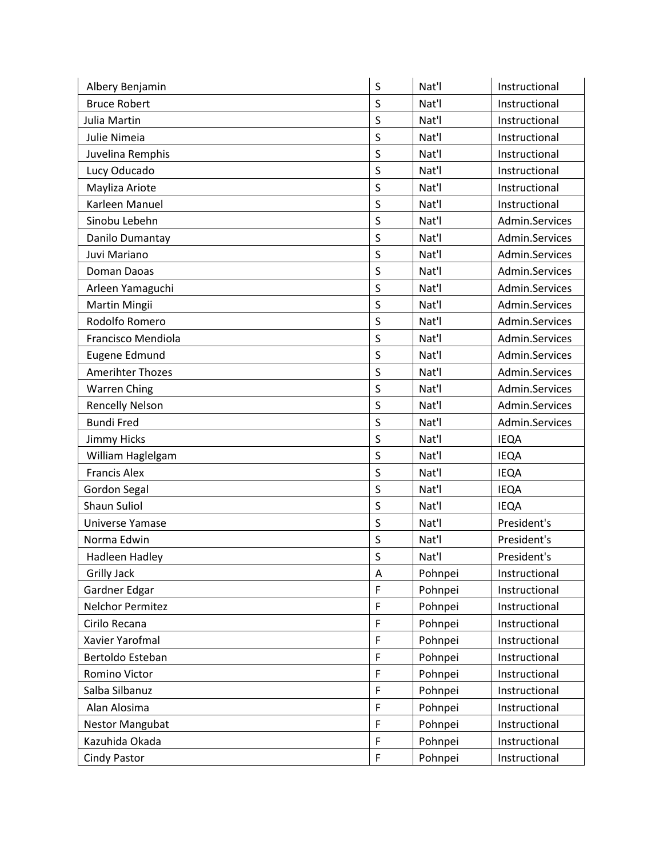| Albery Benjamin         | $\sf S$      | Nat'l   | Instructional  |
|-------------------------|--------------|---------|----------------|
| <b>Bruce Robert</b>     | S            | Nat'l   | Instructional  |
| Julia Martin            | S            | Nat'l   | Instructional  |
| Julie Nimeia            | $\mathsf S$  | Nat'l   | Instructional  |
| Juvelina Remphis        | S            | Nat'l   | Instructional  |
| Lucy Oducado            | $\sf S$      | Nat'l   | Instructional  |
| Mayliza Ariote          | S            | Nat'l   | Instructional  |
| Karleen Manuel          | S            | Nat'l   | Instructional  |
| Sinobu Lebehn           | S            | Nat'l   | Admin.Services |
| Danilo Dumantay         | $\sf S$      | Nat'l   | Admin.Services |
| Juvi Mariano            | S            | Nat'l   | Admin.Services |
| Doman Daoas             | S            | Nat'l   | Admin.Services |
| Arleen Yamaguchi        | $\mathsf S$  | Nat'l   | Admin.Services |
| Martin Mingii           | S            | Nat'l   | Admin.Services |
| Rodolfo Romero          | S            | Nat'l   | Admin.Services |
| Francisco Mendiola      | $\sf S$      | Nat'l   | Admin.Services |
| Eugene Edmund           | S            | Nat'l   | Admin.Services |
| <b>Amerihter Thozes</b> | $\sf S$      | Nat'l   | Admin.Services |
| <b>Warren Ching</b>     | S            | Nat'l   | Admin.Services |
| <b>Rencelly Nelson</b>  | S            | Nat'l   | Admin.Services |
| <b>Bundi Fred</b>       | S            | Nat'l   | Admin.Services |
| <b>Jimmy Hicks</b>      | $\sf S$      | Nat'l   | <b>IEQA</b>    |
| William Haglelgam       | S            | Nat'l   | <b>IEQA</b>    |
| <b>Francis Alex</b>     | $\sf S$      | Nat'l   | <b>IEQA</b>    |
| Gordon Segal            | S            | Nat'l   | <b>IEQA</b>    |
| <b>Shaun Suliol</b>     | S            | Nat'l   | <b>IEQA</b>    |
| Universe Yamase         | S            | Nat'l   | President's    |
| Norma Edwin             | S            | Nat'l   | President's    |
| <b>Hadleen Hadley</b>   | $\mathsf{S}$ | Nat'l   | President's    |
| <b>Grilly Jack</b>      | Α            | Pohnpei | Instructional  |
| Gardner Edgar           | F            | Pohnpei | Instructional  |
| <b>Nelchor Permitez</b> | F            | Pohnpei | Instructional  |
| Cirilo Recana           | F            | Pohnpei | Instructional  |
| Xavier Yarofmal         | F            | Pohnpei | Instructional  |
| Bertoldo Esteban        | $\mathsf{F}$ | Pohnpei | Instructional  |
| Romino Victor           | F            | Pohnpei | Instructional  |
| Salba Silbanuz          | F            | Pohnpei | Instructional  |
| Alan Alosima            | F            | Pohnpei | Instructional  |
| <b>Nestor Mangubat</b>  | F            | Pohnpei | Instructional  |
| Kazuhida Okada          | F            | Pohnpei | Instructional  |
| <b>Cindy Pastor</b>     | $\mathsf{F}$ | Pohnpei | Instructional  |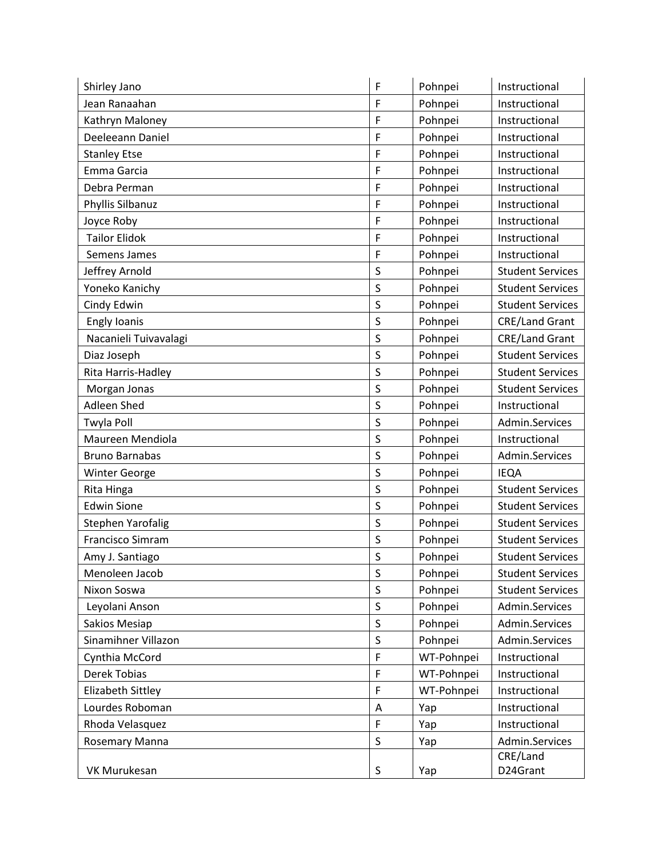| Shirley Jano             | F           | Pohnpei    | Instructional           |
|--------------------------|-------------|------------|-------------------------|
| Jean Ranaahan            | F           | Pohnpei    | Instructional           |
| Kathryn Maloney          | F           | Pohnpei    | Instructional           |
| Deeleeann Daniel         | F           | Pohnpei    | Instructional           |
| <b>Stanley Etse</b>      | F           | Pohnpei    | Instructional           |
| Emma Garcia              | F           | Pohnpei    | Instructional           |
| Debra Perman             | F           | Pohnpei    | Instructional           |
| Phyllis Silbanuz         | F           | Pohnpei    | Instructional           |
| Joyce Roby               | F           | Pohnpei    | Instructional           |
| <b>Tailor Elidok</b>     | F           | Pohnpei    | Instructional           |
| Semens James             | F           | Pohnpei    | Instructional           |
| Jeffrey Arnold           | S           | Pohnpei    | <b>Student Services</b> |
| Yoneko Kanichy           | S           | Pohnpei    | <b>Student Services</b> |
| Cindy Edwin              | S           | Pohnpei    | <b>Student Services</b> |
| <b>Engly Ioanis</b>      | S           | Pohnpei    | <b>CRE/Land Grant</b>   |
| Nacanieli Tuivavalagi    | $\sf S$     | Pohnpei    | <b>CRE/Land Grant</b>   |
| Diaz Joseph              | $\sf S$     | Pohnpei    | <b>Student Services</b> |
| Rita Harris-Hadley       | S           | Pohnpei    | <b>Student Services</b> |
| Morgan Jonas             | S           | Pohnpei    | <b>Student Services</b> |
| Adleen Shed              | S           | Pohnpei    | Instructional           |
| Twyla Poll               | S           | Pohnpei    | Admin.Services          |
| Maureen Mendiola         | S           | Pohnpei    | Instructional           |
| <b>Bruno Barnabas</b>    | $\sf S$     | Pohnpei    | Admin.Services          |
| <b>Winter George</b>     | S           | Pohnpei    | <b>IEQA</b>             |
| Rita Hinga               | S           | Pohnpei    | <b>Student Services</b> |
| <b>Edwin Sione</b>       | S           | Pohnpei    | <b>Student Services</b> |
| <b>Stephen Yarofalig</b> | S           | Pohnpei    | <b>Student Services</b> |
| Francisco Simram         | S           | Pohnpei    | <b>Student Services</b> |
| Amy J. Santiago          | S           | Pohnpei    | <b>Student Services</b> |
| Menoleen Jacob           | S           | Pohnpei    | <b>Student Services</b> |
| Nixon Soswa              | $\sf S$     | Pohnpei    | <b>Student Services</b> |
| Leyolani Anson           | S           | Pohnpei    | Admin.Services          |
| <b>Sakios Mesiap</b>     | $\mathsf S$ | Pohnpei    | Admin.Services          |
| Sinamihner Villazon      | S           | Pohnpei    | Admin.Services          |
| Cynthia McCord           | $\mathsf F$ | WT-Pohnpei | Instructional           |
| Derek Tobias             | F           | WT-Pohnpei | Instructional           |
| Elizabeth Sittley        | $\mathsf F$ | WT-Pohnpei | Instructional           |
| Lourdes Roboman          | A           | Yap        | Instructional           |
| Rhoda Velasquez          | F           | Yap        | Instructional           |
| Rosemary Manna           | S           | Yap        | Admin.Services          |
|                          |             |            | CRE/Land                |
| VK Murukesan             | S           | Yap        | D24Grant                |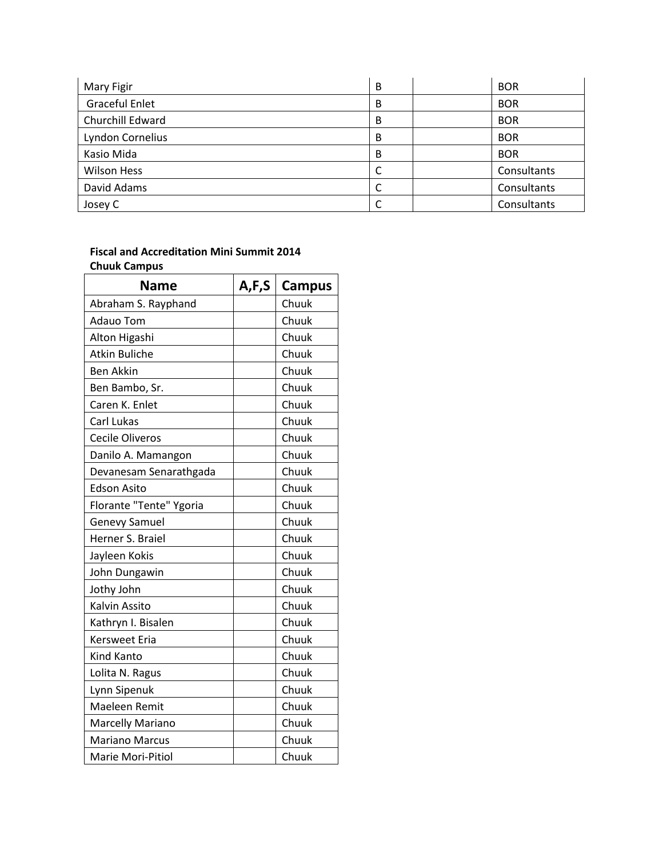| Mary Figir              | B | <b>BOR</b>  |
|-------------------------|---|-------------|
| <b>Graceful Enlet</b>   | B | <b>BOR</b>  |
| Churchill Edward        | B | <b>BOR</b>  |
| <b>Lyndon Cornelius</b> | B | <b>BOR</b>  |
| Kasio Mida              | B | <b>BOR</b>  |
| <b>Wilson Hess</b>      | C | Consultants |
| David Adams             | C | Consultants |
| Josey C                 | C | Consultants |

## **Fiscal and Accreditation Mini Summit 2014 Chuuk Campus**

| <b>Name</b>             | A,F,S | <b>Campus</b> |
|-------------------------|-------|---------------|
| Abraham S. Rayphand     |       | Chuuk         |
| <b>Adauo Tom</b>        |       | Chuuk         |
| Alton Higashi           |       | Chuuk         |
| <b>Atkin Buliche</b>    |       | Chuuk         |
| <b>Ben Akkin</b>        |       | Chuuk         |
| Ben Bambo, Sr.          |       | Chuuk         |
| Caren K. Enlet          |       | Chuuk         |
| Carl Lukas              |       | Chuuk         |
| <b>Cecile Oliveros</b>  |       | Chuuk         |
| Danilo A. Mamangon      |       | Chuuk         |
| Devanesam Senarathgada  |       | Chuuk         |
| <b>Edson Asito</b>      |       | Chuuk         |
| Florante "Tente" Ygoria |       | Chuuk         |
| Genevy Samuel           |       | Chuuk         |
| Herner S. Braiel        |       | Chuuk         |
| Jayleen Kokis           |       | Chuuk         |
| John Dungawin           |       | Chuuk         |
| Jothy John              |       | Chuuk         |
| Kalvin Assito           |       | Chuuk         |
| Kathryn I. Bisalen      |       | Chuuk         |
| <b>Kersweet Eria</b>    |       | Chuuk         |
| Kind Kanto              |       | Chuuk         |
| Lolita N. Ragus         |       | Chuuk         |
| Lynn Sipenuk            |       | Chuuk         |
| Maeleen Remit           |       | Chuuk         |
| Marcelly Mariano        |       | Chuuk         |
| <b>Mariano Marcus</b>   |       | Chuuk         |
| Marie Mori-Pitiol       |       | Chuuk         |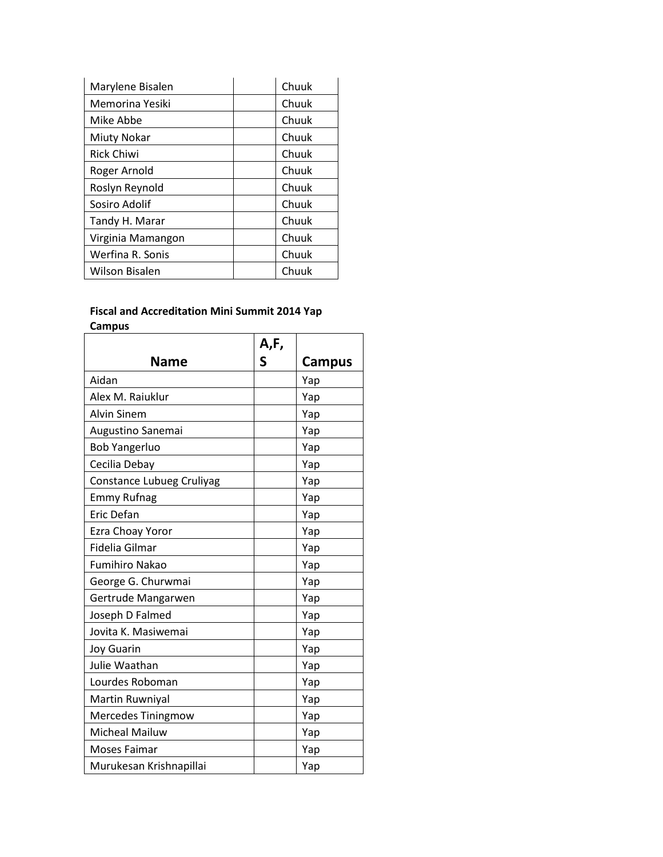| Marylene Bisalen      | Chuuk |
|-----------------------|-------|
| Memorina Yesiki       | Chuuk |
| Mike Abbe             | Chuuk |
| Miuty Nokar           | Chuuk |
| <b>Rick Chiwi</b>     | Chuuk |
| Roger Arnold          | Chuuk |
| Roslyn Reynold        | Chuuk |
| Sosiro Adolif         | Chuuk |
| Tandy H. Marar        | Chuuk |
| Virginia Mamangon     | Chuuk |
| Werfina R. Sonis      | Chuuk |
| <b>Wilson Bisalen</b> | Chuuk |

## **Fiscal and Accreditation Mini Summit 2014 Yap Campus**

|                           | A,F, |               |
|---------------------------|------|---------------|
| <b>Name</b>               | S    | <b>Campus</b> |
| Aidan                     |      | Yap           |
| Alex M. Raiuklur          |      | Yap           |
| <b>Alvin Sinem</b>        |      | Yap           |
| Augustino Sanemai         |      | Yap           |
| <b>Bob Yangerluo</b>      |      | Yap           |
| Cecilia Debay             |      | Yap           |
| Constance Lubueg Cruliyag |      | Yap           |
| <b>Emmy Rufnag</b>        |      | Yap           |
| Eric Defan                |      | Yap           |
| Ezra Choay Yoror          |      | Yap           |
| Fidelia Gilmar            |      | Yap           |
| <b>Fumihiro Nakao</b>     |      | Yap           |
| George G. Churwmai        |      | Yap           |
| Gertrude Mangarwen        |      | Yap           |
| Joseph D Falmed           |      | Yap           |
| Jovita K. Masiwemai       |      | Yap           |
| <b>Joy Guarin</b>         |      | Yap           |
| Julie Waathan             |      | Yap           |
| Lourdes Roboman           |      | Yap           |
| Martin Ruwniyal           |      | Yap           |
| Mercedes Tiningmow        |      | Yap           |
| <b>Micheal Mailuw</b>     |      | Yap           |
| Moses Faimar              |      | Yap           |
| Murukesan Krishnapillai   |      | Yap           |